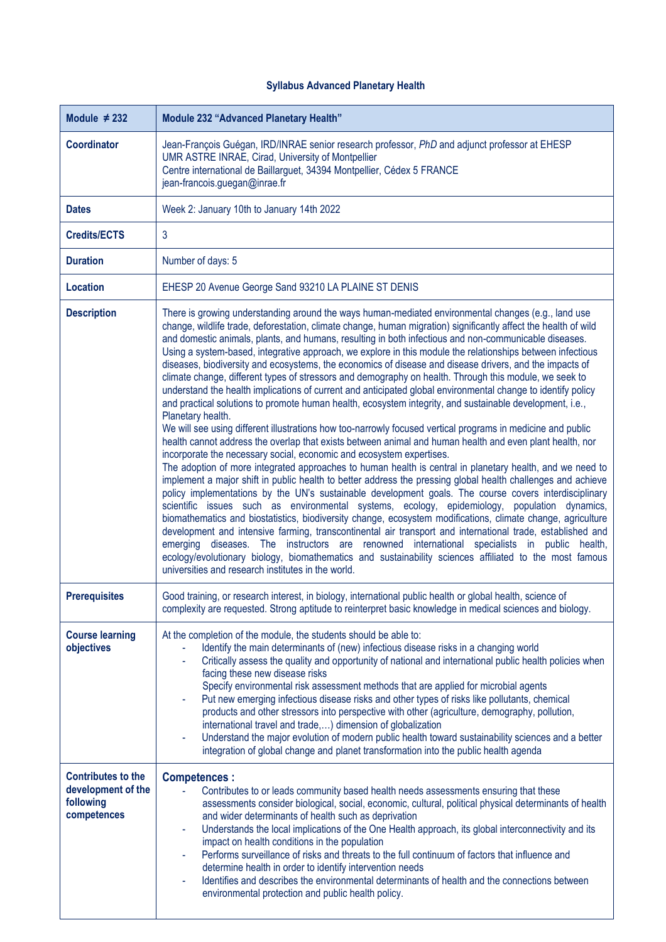## **Syllabus Advanced Planetary Health**

| Module $\neq$ 232                                                           | <b>Module 232 "Advanced Planetary Health"</b>                                                                                                                                                                                                                                                                                                                                                                                                                                                                                                                                                                                                                                                                                                                                                                                                                                                                                                                                                                                                                                                                                                                                                                                                                                                                                                                                                                                                                                                                                                                                                                                                                                                                                                                                                                                                                                                                                                                                                                                                                                                                                                            |
|-----------------------------------------------------------------------------|----------------------------------------------------------------------------------------------------------------------------------------------------------------------------------------------------------------------------------------------------------------------------------------------------------------------------------------------------------------------------------------------------------------------------------------------------------------------------------------------------------------------------------------------------------------------------------------------------------------------------------------------------------------------------------------------------------------------------------------------------------------------------------------------------------------------------------------------------------------------------------------------------------------------------------------------------------------------------------------------------------------------------------------------------------------------------------------------------------------------------------------------------------------------------------------------------------------------------------------------------------------------------------------------------------------------------------------------------------------------------------------------------------------------------------------------------------------------------------------------------------------------------------------------------------------------------------------------------------------------------------------------------------------------------------------------------------------------------------------------------------------------------------------------------------------------------------------------------------------------------------------------------------------------------------------------------------------------------------------------------------------------------------------------------------------------------------------------------------------------------------------------------------|
| <b>Coordinator</b>                                                          | Jean-François Guégan, IRD/INRAE senior research professor, PhD and adjunct professor at EHESP<br>UMR ASTRE INRAE, Cirad, University of Montpellier<br>Centre international de Baillarguet, 34394 Montpellier, Cédex 5 FRANCE<br>jean-francois.guegan@inrae.fr                                                                                                                                                                                                                                                                                                                                                                                                                                                                                                                                                                                                                                                                                                                                                                                                                                                                                                                                                                                                                                                                                                                                                                                                                                                                                                                                                                                                                                                                                                                                                                                                                                                                                                                                                                                                                                                                                            |
| <b>Dates</b>                                                                | Week 2: January 10th to January 14th 2022                                                                                                                                                                                                                                                                                                                                                                                                                                                                                                                                                                                                                                                                                                                                                                                                                                                                                                                                                                                                                                                                                                                                                                                                                                                                                                                                                                                                                                                                                                                                                                                                                                                                                                                                                                                                                                                                                                                                                                                                                                                                                                                |
| Credits/ECTS                                                                | 3                                                                                                                                                                                                                                                                                                                                                                                                                                                                                                                                                                                                                                                                                                                                                                                                                                                                                                                                                                                                                                                                                                                                                                                                                                                                                                                                                                                                                                                                                                                                                                                                                                                                                                                                                                                                                                                                                                                                                                                                                                                                                                                                                        |
| <b>Duration</b>                                                             | Number of days: 5                                                                                                                                                                                                                                                                                                                                                                                                                                                                                                                                                                                                                                                                                                                                                                                                                                                                                                                                                                                                                                                                                                                                                                                                                                                                                                                                                                                                                                                                                                                                                                                                                                                                                                                                                                                                                                                                                                                                                                                                                                                                                                                                        |
| <b>Location</b>                                                             | EHESP 20 Avenue George Sand 93210 LA PLAINE ST DENIS                                                                                                                                                                                                                                                                                                                                                                                                                                                                                                                                                                                                                                                                                                                                                                                                                                                                                                                                                                                                                                                                                                                                                                                                                                                                                                                                                                                                                                                                                                                                                                                                                                                                                                                                                                                                                                                                                                                                                                                                                                                                                                     |
| <b>Description</b>                                                          | There is growing understanding around the ways human-mediated environmental changes (e.g., land use<br>change, wildlife trade, deforestation, climate change, human migration) significantly affect the health of wild<br>and domestic animals, plants, and humans, resulting in both infectious and non-communicable diseases.<br>Using a system-based, integrative approach, we explore in this module the relationships between infectious<br>diseases, biodiversity and ecosystems, the economics of disease and disease drivers, and the impacts of<br>climate change, different types of stressors and demography on health. Through this module, we seek to<br>understand the health implications of current and anticipated global environmental change to identify policy<br>and practical solutions to promote human health, ecosystem integrity, and sustainable development, i.e.,<br>Planetary health.<br>We will see using different illustrations how too-narrowly focused vertical programs in medicine and public<br>health cannot address the overlap that exists between animal and human health and even plant health, nor<br>incorporate the necessary social, economic and ecosystem expertises.<br>The adoption of more integrated approaches to human health is central in planetary health, and we need to<br>implement a major shift in public health to better address the pressing global health challenges and achieve<br>policy implementations by the UN's sustainable development goals. The course covers interdisciplinary<br>scientific issues such as environmental systems, ecology, epidemiology, population dynamics,<br>biomathematics and biostatistics, biodiversity change, ecosystem modifications, climate change, agriculture<br>development and intensive farming, transcontinental air transport and international trade, established and<br>emerging diseases. The instructors are renowned international specialists in public health,<br>ecology/evolutionary biology, biomathematics and sustainability sciences affiliated to the most famous<br>universities and research institutes in the world. |
| <b>Prerequisites</b>                                                        | Good training, or research interest, in biology, international public health or global health, science of<br>complexity are requested. Strong aptitude to reinterpret basic knowledge in medical sciences and biology.                                                                                                                                                                                                                                                                                                                                                                                                                                                                                                                                                                                                                                                                                                                                                                                                                                                                                                                                                                                                                                                                                                                                                                                                                                                                                                                                                                                                                                                                                                                                                                                                                                                                                                                                                                                                                                                                                                                                   |
| <b>Course learning</b><br>objectives                                        | At the completion of the module, the students should be able to:<br>Identify the main determinants of (new) infectious disease risks in a changing world<br>Critically assess the quality and opportunity of national and international public health policies when<br>facing these new disease risks<br>Specify environmental risk assessment methods that are applied for microbial agents<br>Put new emerging infectious disease risks and other types of risks like pollutants, chemical<br>products and other stressors into perspective with other (agriculture, demography, pollution,<br>international travel and trade,) dimension of globalization<br>Understand the major evolution of modern public health toward sustainability sciences and a better<br>$\blacksquare$<br>integration of global change and planet transformation into the public health agenda                                                                                                                                                                                                                                                                                                                                                                                                                                                                                                                                                                                                                                                                                                                                                                                                                                                                                                                                                                                                                                                                                                                                                                                                                                                                             |
| <b>Contributes to the</b><br>development of the<br>following<br>competences | <b>Competences:</b><br>Contributes to or leads community based health needs assessments ensuring that these<br>assessments consider biological, social, economic, cultural, political physical determinants of health<br>and wider determinants of health such as deprivation<br>Understands the local implications of the One Health approach, its global interconnectivity and its<br>impact on health conditions in the population<br>Performs surveillance of risks and threats to the full continuum of factors that influence and<br>determine health in order to identify intervention needs<br>Identifies and describes the environmental determinants of health and the connections between<br>environmental protection and public health policy.                                                                                                                                                                                                                                                                                                                                                                                                                                                                                                                                                                                                                                                                                                                                                                                                                                                                                                                                                                                                                                                                                                                                                                                                                                                                                                                                                                                               |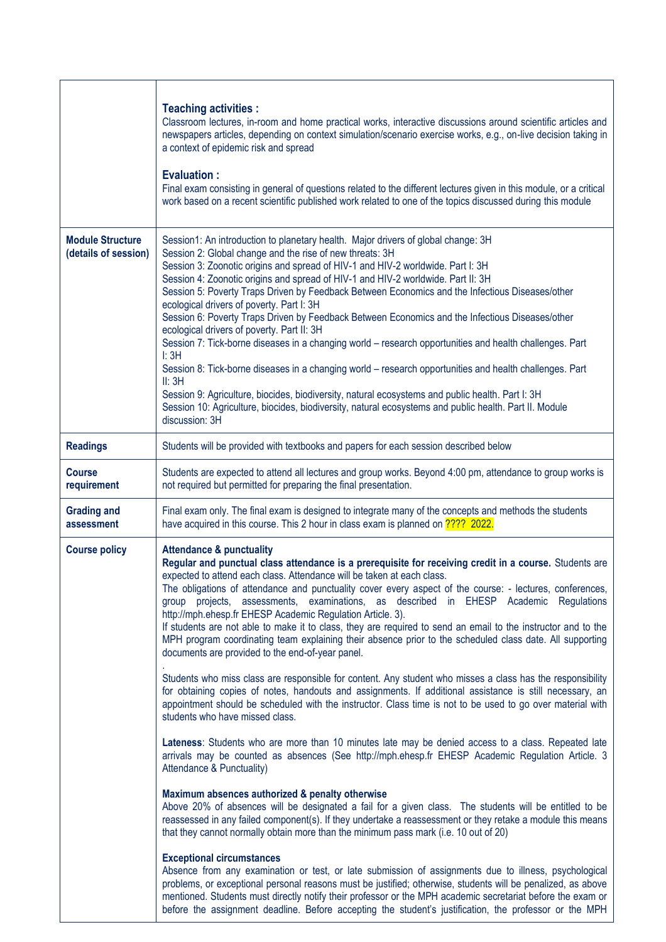|                                                 | <b>Teaching activities:</b><br>Classroom lectures, in-room and home practical works, interactive discussions around scientific articles and<br>newspapers articles, depending on context simulation/scenario exercise works, e.g., on-live decision taking in<br>a context of epidemic risk and spread<br><b>Evaluation:</b><br>Final exam consisting in general of questions related to the different lectures given in this module, or a critical<br>work based on a recent scientific published work related to one of the topics discussed during this module                                                                                                                                                                                                                                                                                                                                                                                                                                                                                                                                                                                                                                                                                                                                                                                                                                                                                                                                                                                                                                                                                                                                                                                                                                                                                                                                                                                                                                                                                                                                                                                                                                                                                        |
|-------------------------------------------------|----------------------------------------------------------------------------------------------------------------------------------------------------------------------------------------------------------------------------------------------------------------------------------------------------------------------------------------------------------------------------------------------------------------------------------------------------------------------------------------------------------------------------------------------------------------------------------------------------------------------------------------------------------------------------------------------------------------------------------------------------------------------------------------------------------------------------------------------------------------------------------------------------------------------------------------------------------------------------------------------------------------------------------------------------------------------------------------------------------------------------------------------------------------------------------------------------------------------------------------------------------------------------------------------------------------------------------------------------------------------------------------------------------------------------------------------------------------------------------------------------------------------------------------------------------------------------------------------------------------------------------------------------------------------------------------------------------------------------------------------------------------------------------------------------------------------------------------------------------------------------------------------------------------------------------------------------------------------------------------------------------------------------------------------------------------------------------------------------------------------------------------------------------------------------------------------------------------------------------------------------------|
| <b>Module Structure</b><br>(details of session) | Session1: An introduction to planetary health. Major drivers of global change: 3H<br>Session 2: Global change and the rise of new threats: 3H<br>Session 3: Zoonotic origins and spread of HIV-1 and HIV-2 worldwide. Part I: 3H<br>Session 4: Zoonotic origins and spread of HIV-1 and HIV-2 worldwide. Part II: 3H<br>Session 5: Poverty Traps Driven by Feedback Between Economics and the Infectious Diseases/other<br>ecological drivers of poverty. Part I: 3H<br>Session 6: Poverty Traps Driven by Feedback Between Economics and the Infectious Diseases/other<br>ecological drivers of poverty. Part II: 3H<br>Session 7: Tick-borne diseases in a changing world - research opportunities and health challenges. Part<br>I: 3H<br>Session 8: Tick-borne diseases in a changing world - research opportunities and health challenges. Part<br>II: 3H<br>Session 9: Agriculture, biocides, biodiversity, natural ecosystems and public health. Part I: 3H<br>Session 10: Agriculture, biocides, biodiversity, natural ecosystems and public health. Part II. Module<br>discussion: 3H                                                                                                                                                                                                                                                                                                                                                                                                                                                                                                                                                                                                                                                                                                                                                                                                                                                                                                                                                                                                                                                                                                                                                           |
| <b>Readings</b>                                 | Students will be provided with textbooks and papers for each session described below                                                                                                                                                                                                                                                                                                                                                                                                                                                                                                                                                                                                                                                                                                                                                                                                                                                                                                                                                                                                                                                                                                                                                                                                                                                                                                                                                                                                                                                                                                                                                                                                                                                                                                                                                                                                                                                                                                                                                                                                                                                                                                                                                                     |
| <b>Course</b><br>requirement                    | Students are expected to attend all lectures and group works. Beyond 4:00 pm, attendance to group works is<br>not required but permitted for preparing the final presentation.                                                                                                                                                                                                                                                                                                                                                                                                                                                                                                                                                                                                                                                                                                                                                                                                                                                                                                                                                                                                                                                                                                                                                                                                                                                                                                                                                                                                                                                                                                                                                                                                                                                                                                                                                                                                                                                                                                                                                                                                                                                                           |
| <b>Grading and</b><br>assessment                | Final exam only. The final exam is designed to integrate many of the concepts and methods the students<br>have acquired in this course. This 2 hour in class exam is planned on ???? 2022.                                                                                                                                                                                                                                                                                                                                                                                                                                                                                                                                                                                                                                                                                                                                                                                                                                                                                                                                                                                                                                                                                                                                                                                                                                                                                                                                                                                                                                                                                                                                                                                                                                                                                                                                                                                                                                                                                                                                                                                                                                                               |
| <b>Course policy</b>                            | <b>Attendance &amp; punctuality</b><br>Regular and punctual class attendance is a prerequisite for receiving credit in a course. Students are<br>expected to attend each class. Attendance will be taken at each class.<br>The obligations of attendance and punctuality cover every aspect of the course: - lectures, conferences,<br>group projects, assessments, examinations, as described in EHESP Academic Regulations<br>http://mph.ehesp.fr EHESP Academic Regulation Article. 3).<br>If students are not able to make it to class, they are required to send an email to the instructor and to the<br>MPH program coordinating team explaining their absence prior to the scheduled class date. All supporting<br>documents are provided to the end-of-year panel.<br>Students who miss class are responsible for content. Any student who misses a class has the responsibility<br>for obtaining copies of notes, handouts and assignments. If additional assistance is still necessary, an<br>appointment should be scheduled with the instructor. Class time is not to be used to go over material with<br>students who have missed class.<br>Lateness: Students who are more than 10 minutes late may be denied access to a class. Repeated late<br>arrivals may be counted as absences (See http://mph.ehesp.fr EHESP Academic Regulation Article. 3<br>Attendance & Punctuality)<br>Maximum absences authorized & penalty otherwise<br>Above 20% of absences will be designated a fail for a given class. The students will be entitled to be<br>reassessed in any failed component(s). If they undertake a reassessment or they retake a module this means<br>that they cannot normally obtain more than the minimum pass mark (i.e. 10 out of 20)<br><b>Exceptional circumstances</b><br>Absence from any examination or test, or late submission of assignments due to illness, psychological<br>problems, or exceptional personal reasons must be justified; otherwise, students will be penalized, as above<br>mentioned. Students must directly notify their professor or the MPH academic secretariat before the exam or<br>before the assignment deadline. Before accepting the student's justification, the professor or the MPH |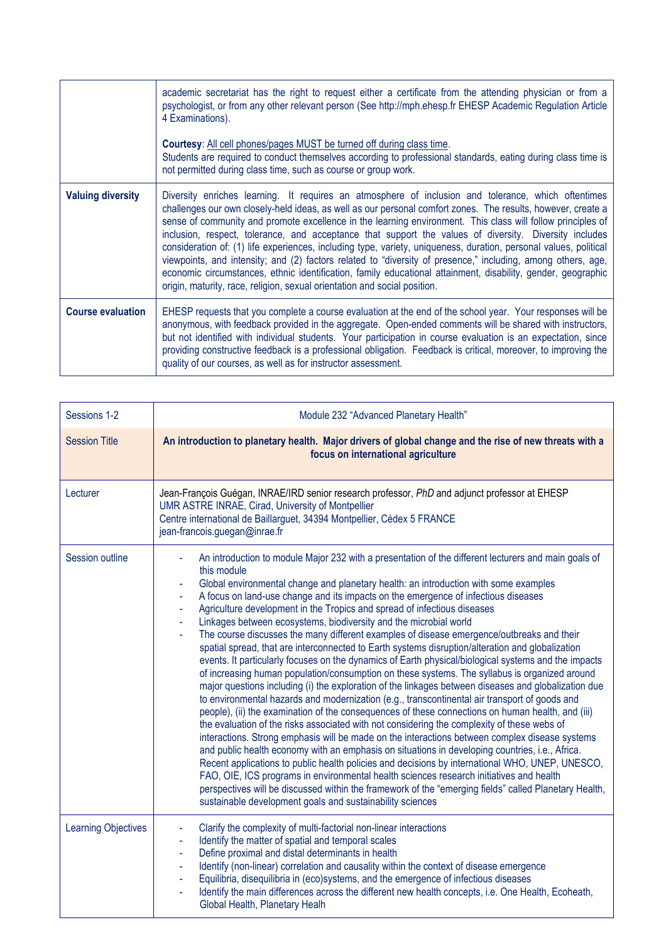|                          | academic secretariat has the right to request either a certificate from the attending physician or from a<br>psychologist, or from any other relevant person (See http://mph.ehesp.fr EHESP Academic Regulation Article<br>4 Examinations).<br><b>Courtesy:</b> All cell phones/pages MUST be turned off during class time.<br>Students are required to conduct themselves according to professional standards, eating during class time is                                                                                                                                                                                                                                                                                                                                                                                                                                    |
|--------------------------|--------------------------------------------------------------------------------------------------------------------------------------------------------------------------------------------------------------------------------------------------------------------------------------------------------------------------------------------------------------------------------------------------------------------------------------------------------------------------------------------------------------------------------------------------------------------------------------------------------------------------------------------------------------------------------------------------------------------------------------------------------------------------------------------------------------------------------------------------------------------------------|
|                          | not permitted during class time, such as course or group work.                                                                                                                                                                                                                                                                                                                                                                                                                                                                                                                                                                                                                                                                                                                                                                                                                 |
| <b>Valuing diversity</b> | Diversity enriches learning. It requires an atmosphere of inclusion and tolerance, which oftentimes<br>challenges our own closely-held ideas, as well as our personal comfort zones. The results, however, create a<br>sense of community and promote excellence in the learning environment. This class will follow principles of<br>inclusion, respect, tolerance, and acceptance that support the values of diversity. Diversity includes<br>consideration of: (1) life experiences, including type, variety, uniqueness, duration, personal values, political<br>viewpoints, and intensity; and (2) factors related to "diversity of presence," including, among others, age,<br>economic circumstances, ethnic identification, family educational attainment, disability, gender, geographic<br>origin, maturity, race, religion, sexual orientation and social position. |
| <b>Course evaluation</b> | EHESP requests that you complete a course evaluation at the end of the school year. Your responses will be<br>anonymous, with feedback provided in the aggregate. Open-ended comments will be shared with instructors,<br>but not identified with individual students. Your participation in course evaluation is an expectation, since<br>providing constructive feedback is a professional obligation. Feedback is critical, moreover, to improving the<br>quality of our courses, as well as for instructor assessment.                                                                                                                                                                                                                                                                                                                                                     |

| Sessions 1-2               | Module 232 "Advanced Planetary Health"                                                                                                                                                                                                                                                                                                                                                                                                                                                                                                                                                                                                                                                                                                                                                                                                                                                                                                                                                                                                                                                                                                                                                                                                                                                                                                                                                                                                                                                                                                                                                                                                                                                                                                                                                                                                             |
|----------------------------|----------------------------------------------------------------------------------------------------------------------------------------------------------------------------------------------------------------------------------------------------------------------------------------------------------------------------------------------------------------------------------------------------------------------------------------------------------------------------------------------------------------------------------------------------------------------------------------------------------------------------------------------------------------------------------------------------------------------------------------------------------------------------------------------------------------------------------------------------------------------------------------------------------------------------------------------------------------------------------------------------------------------------------------------------------------------------------------------------------------------------------------------------------------------------------------------------------------------------------------------------------------------------------------------------------------------------------------------------------------------------------------------------------------------------------------------------------------------------------------------------------------------------------------------------------------------------------------------------------------------------------------------------------------------------------------------------------------------------------------------------------------------------------------------------------------------------------------------------|
| <b>Session Title</b>       | An introduction to planetary health. Major drivers of global change and the rise of new threats with a<br>focus on international agriculture                                                                                                                                                                                                                                                                                                                                                                                                                                                                                                                                                                                                                                                                                                                                                                                                                                                                                                                                                                                                                                                                                                                                                                                                                                                                                                                                                                                                                                                                                                                                                                                                                                                                                                       |
| Lecturer                   | Jean-François Guégan, INRAE/IRD senior research professor, PhD and adjunct professor at EHESP<br>UMR ASTRE INRAE, Cirad, University of Montpellier<br>Centre international de Baillarguet, 34394 Montpellier, Cédex 5 FRANCE<br>jean-francois.guegan@inrae.fr                                                                                                                                                                                                                                                                                                                                                                                                                                                                                                                                                                                                                                                                                                                                                                                                                                                                                                                                                                                                                                                                                                                                                                                                                                                                                                                                                                                                                                                                                                                                                                                      |
| Session outline            | An introduction to module Major 232 with a presentation of the different lecturers and main goals of<br>this module<br>Global environmental change and planetary health: an introduction with some examples<br>A focus on land-use change and its impacts on the emergence of infectious diseases<br>Agriculture development in the Tropics and spread of infectious diseases<br>Linkages between ecosystems, biodiversity and the microbial world<br>The course discusses the many different examples of disease emergence/outbreaks and their<br>spatial spread, that are interconnected to Earth systems disruption/alteration and globalization<br>events. It particularly focuses on the dynamics of Earth physical/biological systems and the impacts<br>of increasing human population/consumption on these systems. The syllabus is organized around<br>major questions including (i) the exploration of the linkages between diseases and globalization due<br>to environmental hazards and modernization (e.g., transcontinental air transport of goods and<br>people), (ii) the examination of the consequences of these connections on human health, and (iii)<br>the evaluation of the risks associated with not considering the complexity of these webs of<br>interactions. Strong emphasis will be made on the interactions between complex disease systems<br>and public health economy with an emphasis on situations in developing countries, i.e., Africa.<br>Recent applications to public health policies and decisions by international WHO, UNEP, UNESCO,<br>FAO, OIE, ICS programs in environmental health sciences research initiatives and health<br>perspectives will be discussed within the framework of the "emerging fields" called Planetary Health,<br>sustainable development goals and sustainability sciences |
| <b>Learning Objectives</b> | Clarify the complexity of multi-factorial non-linear interactions<br>Identify the matter of spatial and temporal scales<br>Define proximal and distal determinants in health<br>Identify (non-linear) correlation and causality within the context of disease emergence<br>Equilibria, disequilibria in (eco)systems, and the emergence of infectious diseases<br>Identify the main differences across the different new health concepts, i.e. One Health, Ecoheath,<br>Global Health, Planetary Healh                                                                                                                                                                                                                                                                                                                                                                                                                                                                                                                                                                                                                                                                                                                                                                                                                                                                                                                                                                                                                                                                                                                                                                                                                                                                                                                                             |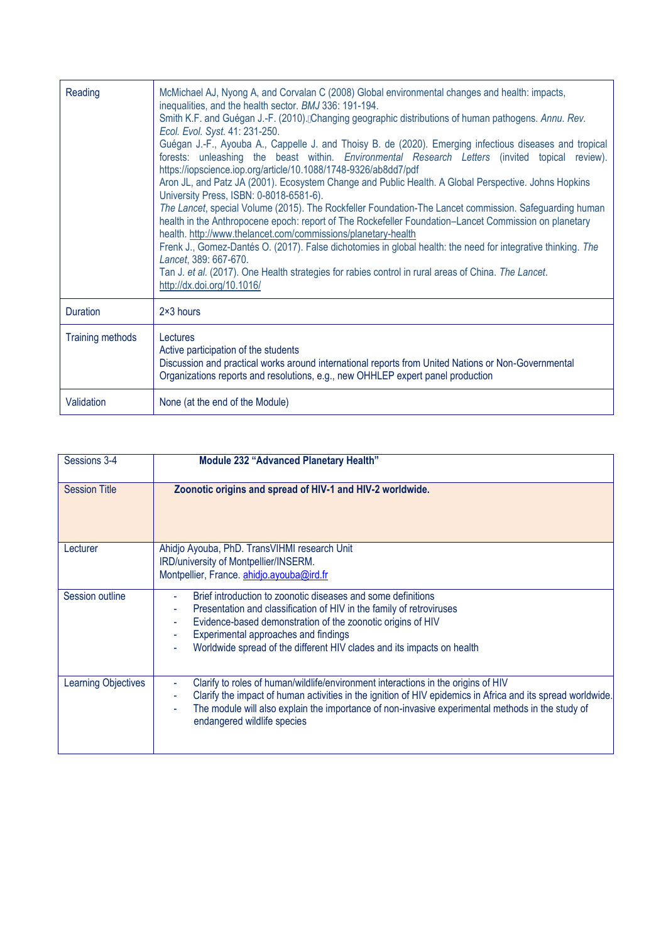| Reading                 | McMichael AJ, Nyong A, and Corvalan C (2008) Global environmental changes and health: impacts,<br>inequalities, and the health sector. BMJ 336: 191-194.<br>Smith K.F. and Guégan J.-F. (2010). Changing geographic distributions of human pathogens. Annu. Rev.<br>Ecol. Evol. Syst. 41: 231-250.<br>Guégan J.-F., Ayouba A., Cappelle J. and Thoisy B. de (2020). Emerging infectious diseases and tropical<br>forests: unleashing the beast within. Environmental Research Letters (invited topical review).<br>https://iopscience.iop.org/article/10.1088/1748-9326/ab8dd7/pdf<br>Aron JL, and Patz JA (2001). Ecosystem Change and Public Health. A Global Perspective. Johns Hopkins<br>University Press, ISBN: 0-8018-6581-6).<br>The Lancet, special Volume (2015). The Rockfeller Foundation-The Lancet commission. Safeguarding human<br>health in the Anthropocene epoch: report of The Rockefeller Foundation-Lancet Commission on planetary<br>health. http://www.thelancet.com/commissions/planetary-health<br>Frenk J., Gomez-Dantés O. (2017). False dichotomies in global health: the need for integrative thinking. The<br>Lancet, 389: 667-670.<br>Tan J. et al. (2017). One Health strategies for rabies control in rural areas of China. The Lancet.<br>http://dx.doi.org/10.1016/ |
|-------------------------|---------------------------------------------------------------------------------------------------------------------------------------------------------------------------------------------------------------------------------------------------------------------------------------------------------------------------------------------------------------------------------------------------------------------------------------------------------------------------------------------------------------------------------------------------------------------------------------------------------------------------------------------------------------------------------------------------------------------------------------------------------------------------------------------------------------------------------------------------------------------------------------------------------------------------------------------------------------------------------------------------------------------------------------------------------------------------------------------------------------------------------------------------------------------------------------------------------------------------------------------------------------------------------------------------------|
| Duration                | 2×3 hours                                                                                                                                                                                                                                                                                                                                                                                                                                                                                                                                                                                                                                                                                                                                                                                                                                                                                                                                                                                                                                                                                                                                                                                                                                                                                               |
| <b>Training methods</b> | Lectures<br>Active participation of the students<br>Discussion and practical works around international reports from United Nations or Non-Governmental<br>Organizations reports and resolutions, e.g., new OHHLEP expert panel production                                                                                                                                                                                                                                                                                                                                                                                                                                                                                                                                                                                                                                                                                                                                                                                                                                                                                                                                                                                                                                                              |
| Validation              | None (at the end of the Module)                                                                                                                                                                                                                                                                                                                                                                                                                                                                                                                                                                                                                                                                                                                                                                                                                                                                                                                                                                                                                                                                                                                                                                                                                                                                         |

| Sessions 3-4               | <b>Module 232 "Advanced Planetary Health"</b>                                                                                                                                                                                                                                                                                       |
|----------------------------|-------------------------------------------------------------------------------------------------------------------------------------------------------------------------------------------------------------------------------------------------------------------------------------------------------------------------------------|
| <b>Session Title</b>       | Zoonotic origins and spread of HIV-1 and HIV-2 worldwide.                                                                                                                                                                                                                                                                           |
| Lecturer                   | Ahidjo Ayouba, PhD. TransVIHMI research Unit<br>IRD/university of Montpellier/INSERM.<br>Montpellier, France. ahidjo.ayouba@ird.fr                                                                                                                                                                                                  |
| Session outline            | Brief introduction to zoonotic diseases and some definitions<br>Presentation and classification of HIV in the family of retroviruses<br>Evidence-based demonstration of the zoonotic origins of HIV<br>Experimental approaches and findings<br>Worldwide spread of the different HIV clades and its impacts on health               |
| <b>Learning Objectives</b> | Clarify to roles of human/wildlife/environment interactions in the origins of HIV<br>Clarify the impact of human activities in the ignition of HIV epidemics in Africa and its spread worldwide.<br>The module will also explain the importance of non-invasive experimental methods in the study of<br>endangered wildlife species |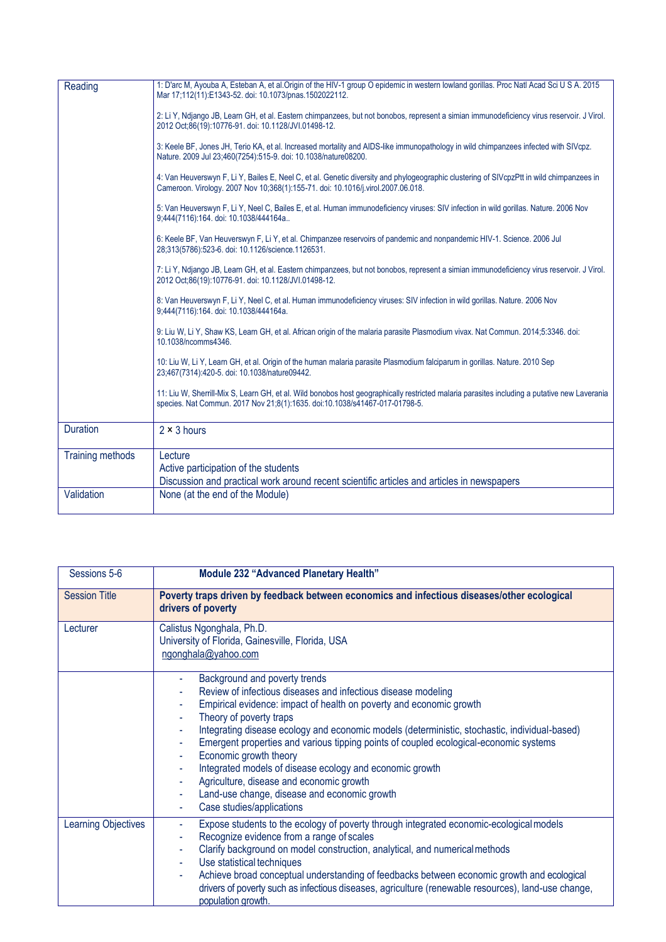| Reading                 | 1: D'arc M, Ayouba A, Esteban A, et al.Origin of the HIV-1 group O epidemic in western lowland gorillas. Proc Natl Acad Sci U S A. 2015<br>Mar 17;112(11):E1343-52. doi: 10.1073/pnas.1502022112.                            |
|-------------------------|------------------------------------------------------------------------------------------------------------------------------------------------------------------------------------------------------------------------------|
|                         | 2: Li Y, Ndjango JB, Learn GH, et al. Eastern chimpanzees, but not bonobos, represent a simian immunodeficiency virus reservoir. J Virol.<br>2012 Oct;86(19):10776-91. doi: 10.1128/JVI.01498-12.                            |
|                         | 3: Keele BF, Jones JH, Terio KA, et al. Increased mortality and AIDS-like immunopathology in wild chimpanzees infected with SIVcpz.<br>Nature. 2009 Jul 23;460(7254):515-9. doi: 10.1038/nature08200.                        |
|                         | 4: Van Heuverswyn F, Li Y, Bailes E, Neel C, et al. Genetic diversity and phylogeographic clustering of SIVcpzPtt in wild chimpanzees in<br>Cameroon. Virology. 2007 Nov 10;368(1):155-71. doi: 10.1016/j.virol.2007.06.018. |
|                         | 5: Van Heuverswyn F, Li Y, Neel C, Bailes E, et al. Human immunodeficiency viruses: SIV infection in wild gorillas. Nature. 2006 Nov<br>9:444(7116):164. doi: 10.1038/444164a                                                |
|                         | 6: Keele BF, Van Heuverswyn F, Li Y, et al. Chimpanzee reservoirs of pandemic and nonpandemic HIV-1. Science. 2006 Jul<br>28:313(5786):523-6. doi: 10.1126/science.1126531.                                                  |
|                         | 7: Li Y, Ndjango JB, Learn GH, et al. Eastern chimpanzees, but not bonobos, represent a simian immunodeficiency virus reservoir. J Virol.<br>2012 Oct;86(19):10776-91. doi: 10.1128/JVI.01498-12.                            |
|                         | 8: Van Heuverswyn F, Li Y, Neel C, et al. Human immunodeficiency viruses: SIV infection in wild gorillas. Nature. 2006 Nov<br>9:444(7116):164. doi: 10.1038/444164a.                                                         |
|                         | 9: Liu W, Li Y, Shaw KS, Learn GH, et al. African origin of the malaria parasite Plasmodium vivax. Nat Commun. 2014;5:3346. doi:<br>10.1038/ncomms4346.                                                                      |
|                         | 10: Liu W, Li Y, Learn GH, et al. Origin of the human malaria parasite Plasmodium falciparum in gorillas. Nature. 2010 Sep<br>23;467(7314):420-5. doi: 10.1038/nature09442.                                                  |
|                         | 11: Liu W, Sherrill-Mix S, Learn GH, et al. Wild bonobos host geographically restricted malaria parasites including a putative new Laverania<br>species. Nat Commun. 2017 Nov 21;8(1):1635. doi:10.1038/s41467-017-01798-5.  |
| <b>Duration</b>         | $2 \times 3$ hours                                                                                                                                                                                                           |
| <b>Training methods</b> | Lecture                                                                                                                                                                                                                      |
|                         | Active participation of the students<br>Discussion and practical work around recent scientific articles and articles in newspapers                                                                                           |
| Validation              | None (at the end of the Module)                                                                                                                                                                                              |

| Sessions 5-6               | Module 232 "Advanced Planetary Health"                                                                                                                                                                                                                                                                                                                                                                                                                                                                                                                                                                    |
|----------------------------|-----------------------------------------------------------------------------------------------------------------------------------------------------------------------------------------------------------------------------------------------------------------------------------------------------------------------------------------------------------------------------------------------------------------------------------------------------------------------------------------------------------------------------------------------------------------------------------------------------------|
| <b>Session Title</b>       | Poverty traps driven by feedback between economics and infectious diseases/other ecological<br>drivers of poverty                                                                                                                                                                                                                                                                                                                                                                                                                                                                                         |
| Lecturer                   | Calistus Ngonghala, Ph.D.<br>University of Florida, Gainesville, Florida, USA<br>ngonghala@yahoo.com                                                                                                                                                                                                                                                                                                                                                                                                                                                                                                      |
|                            | Background and poverty trends<br>Review of infectious diseases and infectious disease modeling<br>Empirical evidence: impact of health on poverty and economic growth<br>Theory of poverty traps<br>Integrating disease ecology and economic models (deterministic, stochastic, individual-based)<br>Emergent properties and various tipping points of coupled ecological-economic systems<br>Economic growth theory<br>Integrated models of disease ecology and economic growth<br>Agriculture, disease and economic growth<br>Land-use change, disease and economic growth<br>Case studies/applications |
| <b>Learning Objectives</b> | Expose students to the ecology of poverty through integrated economic-ecological models<br>Recognize evidence from a range of scales<br>Clarify background on model construction, analytical, and numerical methods<br>$\overline{\phantom{a}}$<br>Use statistical techniques<br>Achieve broad conceptual understanding of feedbacks between economic growth and ecological<br>drivers of poverty such as infectious diseases, agriculture (renewable resources), land-use change,<br>population growth.                                                                                                  |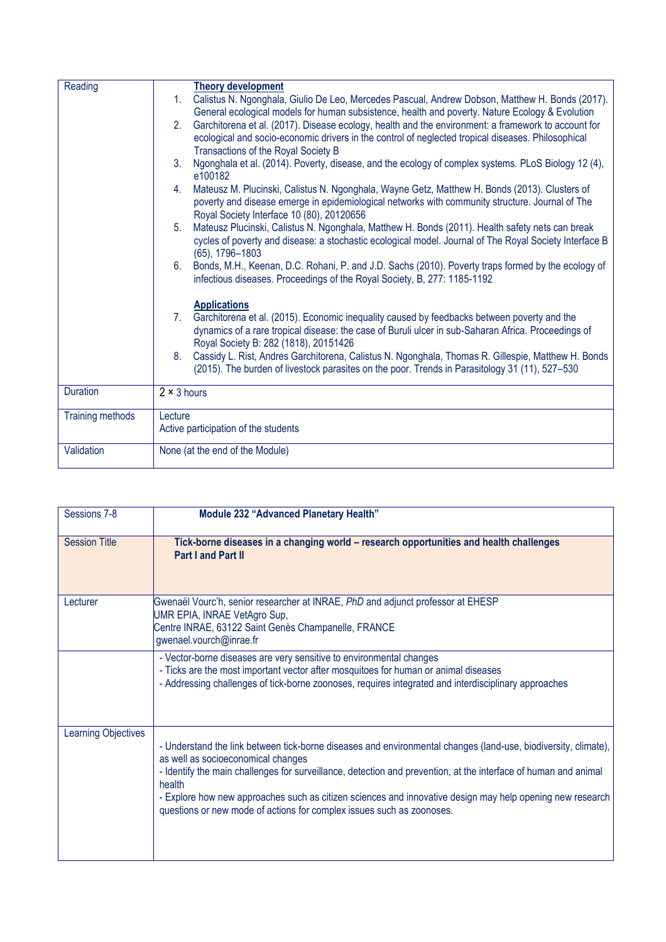| Reading          | <b>Theory development</b>                                                                                                                    |
|------------------|----------------------------------------------------------------------------------------------------------------------------------------------|
|                  | Calistus N. Ngonghala, Giulio De Leo, Mercedes Pascual, Andrew Dobson, Matthew H. Bonds (2017).<br>1 <sup>1</sup>                            |
|                  | General ecological models for human subsistence, health and poverty. Nature Ecology & Evolution                                              |
|                  | Garchitorena et al. (2017). Disease ecology, health and the environment: a framework to account for<br>2.                                    |
|                  | ecological and socio-economic drivers in the control of neglected tropical diseases. Philosophical                                           |
|                  | Transactions of the Royal Society B                                                                                                          |
|                  | Ngonghala et al. (2014). Poverty, disease, and the ecology of complex systems. PLoS Biology 12 (4),<br>3 <sub>1</sub><br>e100182             |
|                  | Mateusz M. Plucinski, Calistus N. Ngonghala, Wayne Getz, Matthew H. Bonds (2013). Clusters of<br>4.                                          |
|                  | poverty and disease emerge in epidemiological networks with community structure. Journal of The<br>Royal Society Interface 10 (80), 20120656 |
|                  | Mateusz Plucinski, Calistus N. Ngonghala, Matthew H. Bonds (2011). Health safety nets can break<br>5.                                        |
|                  | cycles of poverty and disease: a stochastic ecological model. Journal of The Royal Society Interface B                                       |
|                  | $(65)$ , 1796-1803                                                                                                                           |
|                  | Bonds, M.H., Keenan, D.C. Rohani, P. and J.D. Sachs (2010). Poverty traps formed by the ecology of<br>6.                                     |
|                  | infectious diseases. Proceedings of the Royal Society, B, 277: 1185-1192                                                                     |
|                  | <b>Applications</b>                                                                                                                          |
|                  | Garchitorena et al. (2015). Economic inequality caused by feedbacks between poverty and the<br>$7_{\scriptscriptstyle{\sim}}$                |
|                  | dynamics of a rare tropical disease: the case of Buruli ulcer in sub-Saharan Africa. Proceedings of                                          |
|                  | Royal Society B: 282 (1818), 20151426                                                                                                        |
|                  | Cassidy L. Rist, Andres Garchitorena, Calistus N. Ngonghala, Thomas R. Gillespie, Matthew H. Bonds<br>8.                                     |
|                  | (2015). The burden of livestock parasites on the poor. Trends in Parasitology 31 (11), 527-530                                               |
| <b>Duration</b>  | $2 \times 3$ hours                                                                                                                           |
|                  |                                                                                                                                              |
| Training methods | Lecture                                                                                                                                      |
|                  | Active participation of the students                                                                                                         |
| Validation       | None (at the end of the Module)                                                                                                              |
|                  |                                                                                                                                              |

| Sessions 7-8               | Module 232 "Advanced Planetary Health"                                                                                                                                                                                                                                                                                                                                                                                                                                  |
|----------------------------|-------------------------------------------------------------------------------------------------------------------------------------------------------------------------------------------------------------------------------------------------------------------------------------------------------------------------------------------------------------------------------------------------------------------------------------------------------------------------|
| <b>Session Title</b>       | Tick-borne diseases in a changing world - research opportunities and health challenges<br><b>Part I and Part II</b>                                                                                                                                                                                                                                                                                                                                                     |
| Lecturer                   | Gwenaël Vourc'h, senior researcher at INRAE, PhD and adjunct professor at EHESP<br>UMR EPIA, INRAE VetAgro Sup,<br>Centre INRAE, 63122 Saint Genès Champanelle, FRANCE<br>gwenael.vourch@inrae.fr                                                                                                                                                                                                                                                                       |
|                            | - Vector-borne diseases are very sensitive to environmental changes<br>- Ticks are the most important vector after mosquitoes for human or animal diseases<br>- Addressing challenges of tick-borne zoonoses, requires integrated and interdisciplinary approaches                                                                                                                                                                                                      |
| <b>Learning Objectives</b> | - Understand the link between tick-borne diseases and environmental changes (land-use, biodiversity, climate),<br>as well as socioeconomical changes<br>- Identify the main challenges for surveillance, detection and prevention, at the interface of human and animal<br>health<br>- Explore how new approaches such as citizen sciences and innovative design may help opening new research<br>questions or new mode of actions for complex issues such as zoonoses. |